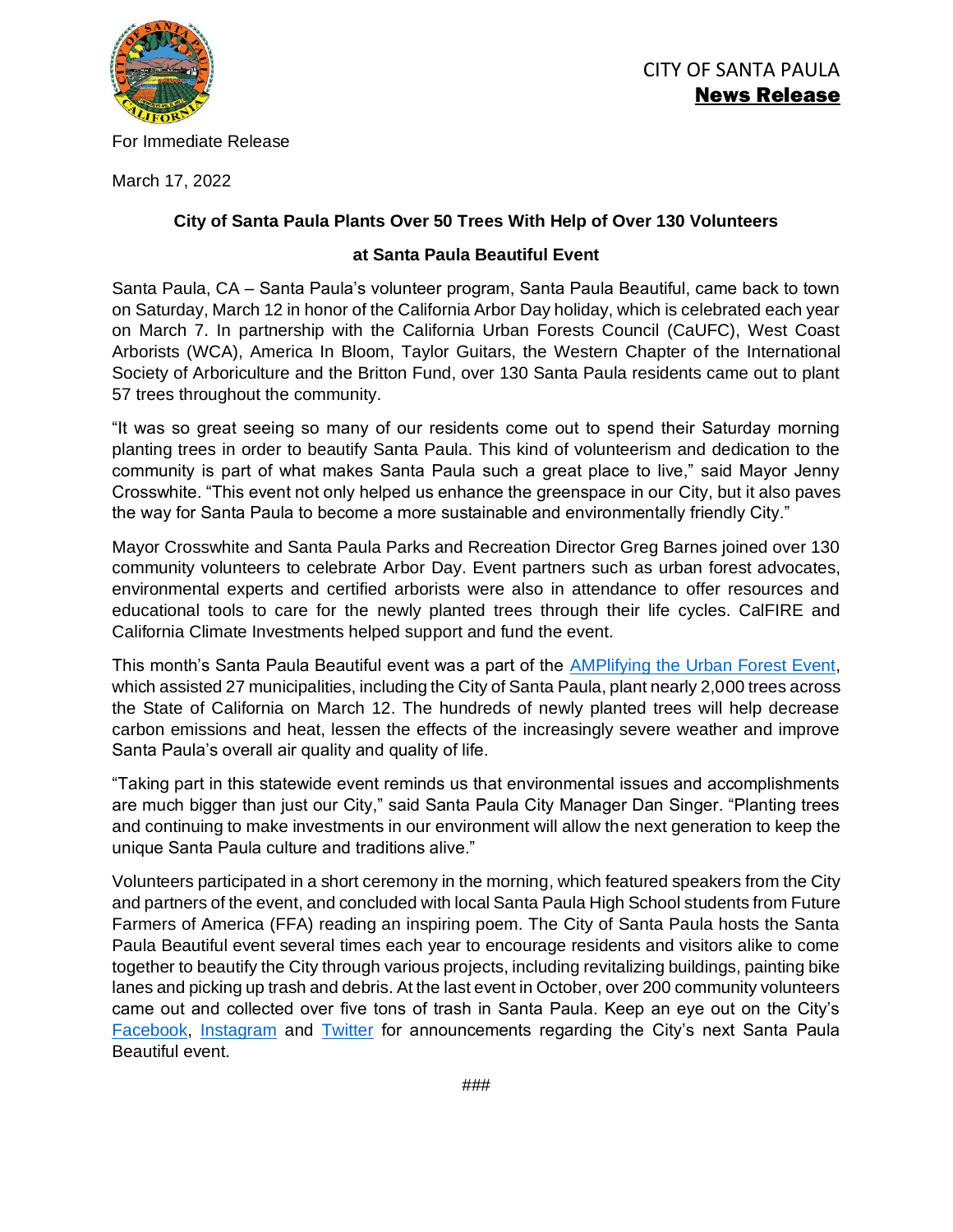

For Immediate Release

March 17, 2022

## **City of Santa Paula Plants Over 50 Trees With Help of Over 130 Volunteers**

### **at Santa Paula Beautiful Event**

Santa Paula, CA – Santa Paula's volunteer program, Santa Paula Beautiful, came back to town on Saturday, March 12 in honor of the California Arbor Day holiday, which is celebrated each year on March 7. In partnership with the California Urban Forests Council (CaUFC), West Coast Arborists (WCA), America In Bloom, Taylor Guitars, the Western Chapter of the International Society of Arboriculture and the Britton Fund, over 130 Santa Paula residents came out to plant 57 trees throughout the community.

"It was so great seeing so many of our residents come out to spend their Saturday morning planting trees in order to beautify Santa Paula. This kind of volunteerism and dedication to the community is part of what makes Santa Paula such a great place to live," said Mayor Jenny Crosswhite. "This event not only helped us enhance the greenspace in our City, but it also paves the way for Santa Paula to become a more sustainable and environmentally friendly City."

Mayor Crosswhite and Santa Paula Parks and Recreation Director Greg Barnes joined over 130 community volunteers to celebrate Arbor Day. Event partners such as urban forest advocates, environmental experts and certified arborists were also in attendance to offer resources and educational tools to care for the newly planted trees through their life cycles. CalFIRE and California Climate Investments helped support and fund the event.

This month's Santa Paula Beautiful event was a part of the [AMPlifying the Urban Forest Event,](https://investfromthegroundup.org/) which assisted 27 municipalities, including the City of Santa Paula, plant nearly 2,000 trees across the State of California on March 12. The hundreds of newly planted trees will help decrease carbon emissions and heat, lessen the effects of the increasingly severe weather and improve Santa Paula's overall air quality and quality of life.

"Taking part in this statewide event reminds us that environmental issues and accomplishments are much bigger than just our City," said Santa Paula City Manager Dan Singer. "Planting trees and continuing to make investments in our environment will allow the next generation to keep the unique Santa Paula culture and traditions alive."

Volunteers participated in a short ceremony in the morning, which featured speakers from the City and partners of the event, and concluded with local Santa Paula High School students from Future Farmers of America (FFA) reading an inspiring poem. The City of Santa Paula hosts the Santa Paula Beautiful event several times each year to encourage residents and visitors alike to come together to beautify the City through various projects, including revitalizing buildings, painting bike lanes and picking up trash and debris. At the last event in October, over 200 community volunteers came out and collected over five tons of trash in Santa Paula. Keep an eye out on the City's [Facebook,](https://www.facebook.com/CityofSantaPaula) [Instagram](https://www.instagram.com/cityofsantapaula_official/) and [Twitter](https://twitter.com/santapaulacity) for announcements regarding the City's next Santa Paula Beautiful event.